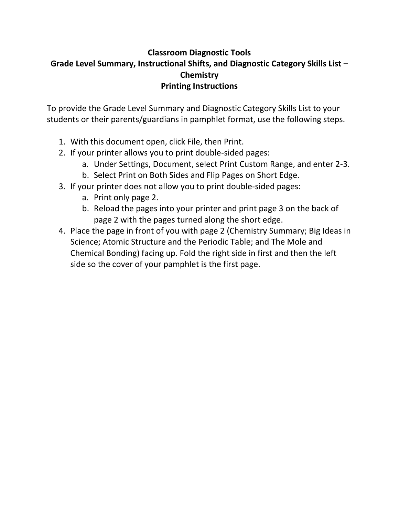# **Classroom Diagnostic Tools Grade Level Summary, Instructional Shifts, and Diagnostic Category Skills List – Chemistry Printing Instructions**

To provide the Grade Level Summary and Diagnostic Category Skills List to your students or their parents/guardians in pamphlet format, use the following steps.

- 1. With this document open, click File, then Print.
- 2. If your printer allows you to print double-sided pages:
	- a. Under Settings, Document, select Print Custom Range, and enter 2-3.
	- b. Select Print on Both Sides and Flip Pages on Short Edge.
- 3. If your printer does not allow you to print double-sided pages:
	- a. Print only page 2.
	- b. Reload the pages into your printer and print page 3 on the back of page 2 with the pages turned along the short edge.
- 4. Place the page in front of you with page 2 (Chemistry Summary; Big Ideas in Science; Atomic Structure and the Periodic Table; and The Mole and Chemical Bonding) facing up. Fold the right side in first and then the left side so the cover of your pamphlet is the first page.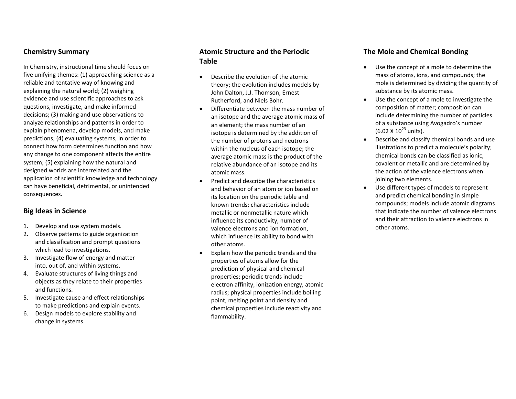#### **Chemistry Summary**

In Chemistry, instructional time should focus on five unifying themes: (1) approaching science as a reliable and tentative way of knowing and explaining the natural world; (2) weighing evidence and use scientific approaches to ask questions, investigate, and make informed decisions; (3) making and use observations to analyze relationships and patterns in order to explain phenomena, develop models, and make predictions; (4) evaluating systems, in order to connect how form determines function and how any change to one component affects the entire system; (5) explaining how the natural and designed worlds are interrelated and the application of scientific knowledge and technology can have beneficial, detrimental, or unintended consequences.

#### **Big Ideas in Science**

- 1. Develop and use system models.
- 2. Observe patterns to guide organization and classification and prompt questions which lead to investigations.
- 3. Investigate flow of energy and matter into, out of, and within systems.
- 4. Evaluate structures of living things and objects as they relate to their properties and functions.
- 5. Investigate cause and effect relationships to make predictions and explain events.
- 6. Design models to explore stability and change in systems.

## **Atomic Structure and the Periodic Table**

- Describe the evolution of the atomic theory; the evolution includes models by John Dalton, J.J. Thomson, Ernest Rutherford, and Niels Bohr.
- Differentiate between the mass number of an isotope and the average atomic mass of an element; the mass number of an isotope is determined by the addition of the number of protons and neutrons within the nucleus of each isotope; the average atomic mass is the product of the relative abundance of an isotope and its atomic mass.
- Predict and describe the characteristics and behavior of an atom or ion based on its location on the periodic table and known trends; characteristics include metallic or nonmetallic nature which influence its conductivity, number of valence electrons and ion formation, which influence its ability to bond with other atoms.
- Explain how the periodic trends and the properties of atoms allow for the prediction of physical and chemical properties; periodic trends include electron affinity, ionization energy, atomic radius; physical properties include boiling point, melting point and density and chemical properties include reactivity and flammability.

#### **The Mole and Chemical Bonding**

- Use the concept of a mole to determine the mass of atoms, ions, and compounds; the mole is determined by dividing the quantity of substance by its atomic mass.
- Use the concept of a mole to investigate the composition of matter; composition can include determining the number of particles of a substance using Avogadro's number  $(6.02 \times 10^{23} \text{ units})$ .
- Describe and classify chemical bonds and use illustrations to predict a molecule's polarity; chemical bonds can be classified as ionic, covalent or metallic and are determined by the action of the valence electrons when joining two elements.
- Use different types of models to represent and predict chemical bonding in simple compounds; models include atomic diagrams that indicate the number of valence electrons and their attraction to valence electrons in other atoms.